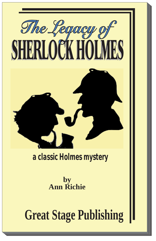

# *a classic Holmes mystery*

**by Ann Richie**

**Great Stage Publishing**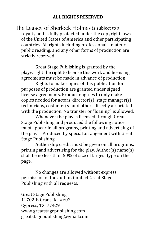The Legacy of Sherlock Holmes is subject to a royalty and is fully protected under the copyright laws of the United States of America and other participating countries. All rights including professional, amateur, public reading, and any other forms of production are strictly reserved.

Great Stage Publishing is granted by the playwright the right to license this work and licensing agreements must be made in advance of production.

Rights to make copies of this publication for purposes of production are granted under signed license agreements. Producer agrees to only make copies needed for actors, director(s), stage manager(s), technicians, costumer(s) and others directly associated with the production. No transfer or "loaning" is allowed.

Whenever the play is licensed through Great Stage Publishing and produced the following notice must appear in all programs, printing and advertising of the play: "Produced by special arrangement with Great Stage Publishing"

Authorship credit must be given on all programs, printing and advertising for the play. Author(s) name(s) shall be no less than 50% of size of largest type on the page.

No changes are allowed without express permission of the author. Contact Great Stage Publishing with all requests.

Great Stage Publishing 11702-B Grant Rd. #602 Cypress, TX 77429 www.greatstagepublishing.com! greatstagepublishing@gmail.com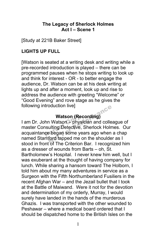# **The Legacy of Sherlock Holmes Act I – Scene 1**

[Study at 221B Baker Street]

# **LIGHTS UP FULL**

[Watson is seated at a writing desk and writing while a pre-recorded introduction is played – there can be programmed pauses when he stops writing to look up and think for interest - OR - to better engage the audience, Dr. Watson can be at his desk writing at lights up and after a moment, look up and rise to address the audience with greeting "Welcome" or "Good Evening" and rove stage as he gives the following introduction live]

**Watson (Recording)**<br>
hn Watson – physician and<br>
nsulting Detective, Sherlock<br>
ce began some years ago I am Dr. John Watson – physician and colleague of master Consulting Detective, Sherlock Holmes. Our acquaintance began some years ago when a chap named Stamford tapped me on the shoulder as I stood in front of The Criterion Bar. I recognized him as a dresser of wounds from Barts – oh, St. Bartholomew's Hospital. I never knew him well, but I was exuberant at the thought of having company for lunch. While sharing a hansom toward The Holborn, I told him about my many adventures in service as a Surgeon with the Fifth Northumberland Fusiliers in the recent Afghan War – and the Jezail bullet that I took at the Battle of Maiwand. Were it not for the devotion and determination of my orderly, Murray, I would surely have landed in the hands of the murderous Ghazis. I was transported with the other wounded to Peshawar – where a medical board ordered that I should be dispatched home to the British Isles on the Oduction live<br>
Watson (Recording)<br>
Not Formance Colle<br>
Ulting Detective, Sherlock Holn<br>
Performance Performance Collection<br>
The Criterian Bar, I recogne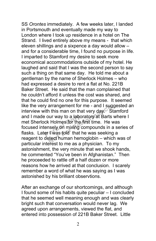SS *Orontes* immediately. A few weeks later, I landed in Portsmouth and eventually made my way to London where I took up residence in a hotel on The Strand. I lived entirely above my means - that which eleven shillings and a sixpence a day would allow – and for a considerable time, I found no purpose in life. I imparted to Stamford my desire to seek more economical accommodations outside of my hotel. He laughed and said that I was the second person to say such a thing on that same day. He told me about a gentleman by the name of Sherlock Holmes – who had expressed a desire to rent a flat at No. 221B Baker Street. He said that the man complained that he couldn't afford it unless the cost was shared, and that he could find no one for this purpose. It seemed like the very arrangement for me - and I suggested an interview with this man on that very day. Stamford and I made our way to a laboratory at Barts where I met Sherlock Holmes for the first time. He was focused intensely on mixing compounds in a series of flasks. Later I was told that he was seeking a reagent to detect human hemoglobin – which was of particular interest to me as a physician. To my astonishment, the very minute that we shook hands, he commented "You've been in Afghanistan." Then he proceeded to rattle off a half dozen or more reasons how he arrived at that conclusion. I scarely remember a word of what he was saying as I was astonished by his brilliant observtions. e our way to a labor<br>ck Holmes for the f<br>ensely on mixing c<br>er I was told that h arrangement for me - and I sught<br>in this man on that very day. Sour way to a laboratory at Barts<br>is Holmes for the first time. He is<br>nsely on mixing compounds in a<br>laws told that he was seeking<br>tect human hemoglobin – whic

After an exchange of our shortcomings, and although I found some of his habits quite peculiar – I concluded that he seemed well meaning enough and was clearly bright such that conversation would never lag. We agreed upon arrangements, viewed the flat, and entered into possession of 221B Baker Street. Little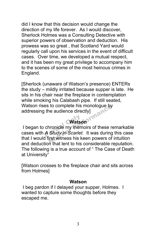did I know that this decision would change the direction of my life forever. As I would discover, Sherlock Holmes was a Consulting Detective with superior powers of observation and deduction. His prowess was so great , that Scotland Yard would regularly call upon his services in the event of difficult cases. Over time, we developed a mutual respect, and it has been my great privilege to accompany him to the scenes of some of the most heinous crimes in England.

[Sherlock (unaware of Watson's presence) ENTERs the study – mildly irritated because supper is late. He sits in his chair near the fireplace in contemplation while smoking his Calabash pipe. If still seated, Watson rises to complete his monologue by addressing the audience directly]

#### **Watson**

I began to chronicle my memoirs of these remarkable cases with *A Study in Scarlet.* It was during this case that I would first witness his keen powers of intuition and deduction that lent to his considerable reputation. The following is a true account of " The Case of Death at University" Watso<br>chronicle my mem<br>A Study in Scarlet. Reference the monologue by<br>
The audience directly]<br>
Not Formation<br>
Not Formally monoirs of these reformance the Study in Scarlet. It was during<br>
The that leads to be considerable to the considerable in

[Watson crosses to the fireplace chair and sits across from Holmes]

#### **Watson**

I beg pardon if I delayed your supper, Holmes. I wanted to capture some thoughts before they escaped me.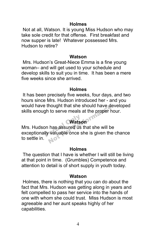#### **Holmes**

Not at all, Watson. It is young Miss Hudson who may take sole credit for that offense. First breakfast and now supper is late! Whatever possessed Mrs. Hudson to retire?

#### **Watson**

Mrs. Hudson's Great-Niece Emma is a fine young woman– and will get used to your schedule and develop skills to suit you in time. It has been a mere five weeks since she arrived.

#### **Holmes**

It has been precisely five weeks, four days, and two hours since Mrs. Hudson introduced her - and you would have thought that she should have developed skills enough to serve meals at the proper hour.

# **Watson**

Mrs. Hudson has assured us that she will be Watson<br>Mrs. Hudson has assured us that she will be<br>exceptionally valuable once she is given the chance to settle in. Notice in to serve meals at the proper has assured us that she will be valuable once she is given the

#### **Holmes**

The question that I have is whether I will still be living at that point in time. (Grumbles) Competence and attention to detail is of short supply in youth today.

#### **Watson**

Holmes, there is nothing that you can do about the fact that Mrs. Hudson was getting along in years and felt compelled to pass her service into the hands of one with whom she could trust. Miss Hudson is most agreeable and her aunt speaks highly of her capabilities.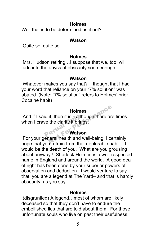#### **Holmes**

Well that is to be determined, is it not?

#### **Watson**

Quite so, quite so.

#### **Holmes**

Mrs. Hudson retiring…I suppose that we, too, will fade into the abyss of obscurity soon enough.

#### **Watson**

Whatever makes you say that? I thought that I had your word that reliance on your "7% solution" was abated. (Note: "7% solution" refers to Holmes' prior Cocaine habit)

# **Holmes**

And if I said it, then it is…although there are times when I crave the clarity it brings. id it, then it is...alth<br>
ve the clarity it bring<br>  $\mathcal{C}^{\text{max}}$   $\mathcal{C}^{\text{max}}$ Holmes<br>
it, then it is...although there are<br>
the clarity it brings.<br>
Watson<br>
neral health and well-being, I contained the state of the state of the state of the state of the state of the<br>
what doplorable by

# **Watson**

For your general health and well-being, I certainly hope that you refrain from that deplorable habit. It would be the death of you. What are you grousing about anyway? Sherlock Holmes is a well-respected name in England and around the world. A good deal of right has been done by your superior powers of observation and deduction. I would venture to say that you are a legend at The Yard– and that is hardly obscurity, as you say.

#### **Holmes**

(disgruntled) A legend…most of whom are likely deceased so that they don't have to endure the embellished lies that are told about them. For those unfortunate souls who live on past their usefulness,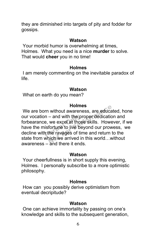they are diminished into targets of pity and fodder for gossips.

#### **Watson**

Your morbid humor is overwhelming at times, Holmes. What you need is a nice **murder** to solve. That would **cheer** you in no time!

#### **Holmes**

I am merely commenting on the inevitable paradox of life.

#### **Watson**

What on earth do you mean?

#### **Holmes**

We are born without awareness, are educated, hone our vocation – and with the proper dedication and forbearance, we excel at those skills. However, if we have the misfortune to live beyond our prowess, we decline with the ravages of time and return to the state from which we arrived in this world…without awareness – and there it ends. n – and with the pr<br>e, we excel at those<br>isfortune to live be<br>n the ravages of tin Holmes<br>
- without awareness, are educa<br>
- and with the proper dedicatic<br>
we excel at those skills. Howe<br>
fortune to live beyond our prow<br>
the ravages of time and return<br>
ich we arrived in this world...w<br>
and there it onde

#### **Watson**

Your cheerfullness is in short supply this evening, Holmes. I personally subscribe to a more optimistic philosophy.

#### **Holmes**

How can you possibly derive optimistism from eventual decripitude?

#### **Watson**

One can achieve immortality by passing on one's knowledge and skills to the subsequent generation,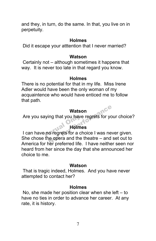and they, in turn, do the same. In that, you live on in perpetuity.

#### **Holmes**

Did it escape your atttention that I never married?

#### **Watson**

Certainly not – although sometimes it happens that way. It is never too late in that regard you know.

#### **Holmes**

There is no potential for that in my life. Miss Irene Adler would have been the only woman of my acquaintence who would have enticed me to follow that path.

### **Watson**

Are you saying that you have regrets for your choice?

# **Holmes**

Are you saying that you have regrets for your choice?<br> **Holmes**<br>
I can have no regrets for a choice I was never given. She chose the opera and the theatre – and set out to America for her preferred life. I have neither seen nor heard from her since the day that she announced her choice to me. Watson<br>
ing that you have regrets for you<br>
Holmes<br>
o regrets for a choice I was never<br>
in the theatre – and<br>
Not proforted life, I have poithed

#### **Watson**

That is tragic indeed, Holmes. And you have never attempted to contact her?

### **Holmes**

No, she made her position clear when she left  $-$  to have no ties in order to advance her career. At any rate, it is history.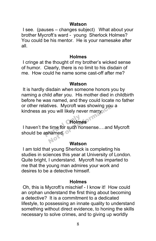#### **Watson**

I see. (pauses – changes subject) What about your brother Mycroft's ward - young Sherlock Holmes? You could be his mentor. He is your namesake after all.

#### **Holmes**

I cringe at the thought of my brother's wicked sense of humor. Clearly, there is no limit to his disdain of me. How could he name some cast-off after me?

#### **Watson**

It is hardly disdain when someone honors you by naming a child after you. His mother died in childbirth before he was named, and they could locate no father or other relatives. Mycroft was showing you a kindness as you will likely never marry.

# **Holmes**

I haven't the time for such nonsense.…and Mycroft should be ashamed. **Produce**<br>The time for such no<br>ashamed Notice. Mycroft was showing you<br>you will likely never marry.<br>Holmes<br>time for such nonsense....and<br>hamed.

#### **Watson**

I am told that young Sherlock is completing his studies in sciences this year at University of London. Quite bright, I understand. Mycroft has imparted to me that the young man admires your work and desires to be a detective himself.

#### **Holmes**

Oh, this is Mycroft's mischief - I know it! How could an orphan understand the first thing about becoming a detective? It is a commitment to a dedicated lifestyle, to possessing an innate quality to understand something without direct evidence, to honing the skills necessary to solve crimes, and to giving up worldly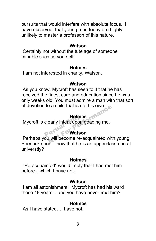pursuits that would interfere with absolute focus. I have observed, that young men today are highly unlikely to master a professon of this nature.

#### **Watson**

Certainly not without the tutelage of someone capable such as yourself.

#### **Holmes**

I am not interested in charity, Watson.

#### **Watson**

As you know, Mycroft has seen to it that he has received the finest care and education since he was only weeks old. You must admire a man with that sort of devotion to a child that is not his own. mance

### **Holmes**

Mycroft is clearly intent upon goading me. Holme<br>clearly intent upon<br>P<sup>eru</sup>n C Watso

# **Watson**

Perhaps you will become re-acquainted with young Sherlock soon – now that he is an upperclassman at universtiy?

#### **Holmes**

"Re-acquainted" would imply that I had met him before…which I have not.

#### **Watson**

I am all astonishment! Mycroft has had his ward these 18 years – and you have never **met** him?

#### **Holmes**

As I have stated…I have not.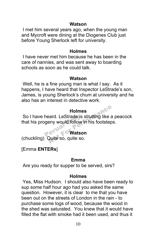#### **Watson**

I met him several years ago, when the young man and Mycroft were dining at the Diogenes Club just before Young Sherlock left for university.

#### **Holmes**

I have never met him because he has been in the care of nannies, and was sent away to boarding schools as soon as he could talk.

#### **Watson**

Well, he is a fine young man is what I say. As it happens, I have heard that Inspector LeStrade's son, James, is young Sherlock's chum at university and he also has an interest in detective work.

#### **Holmes**

So I have heard. LeStrade is strutting like a peacock that his progeny would follow in his footsteps. heard. LeStrade is<br>geny would follow<br>**Perual Converts** Holmes<br>
Pard. LeStrade is strutting like a<br>
eny would follow in his footstep<br>
Watson<br>
Quite so, quite so.

#### **Watson**

(chuckling) Quite so, quite so.

### [Emma **ENTERs**]

#### **Emma**

Are you ready for supper to be served, sirs?

#### **Holmes**

Yes, Miss Hudson. I should also have been ready to sup some half hour ago had you asked the same question. However, it is clear to me that you have been out on the streets of London in the rain - to purchase some logs of wood, because the wood in the shed was saturated. You knew that it would have filled the flat with smoke had it been used, and thus it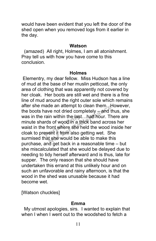would have been evident that you left the door of the shed open when you removed logs from it earlier in the day.

#### **Watson**

 (amazed) All right, Holmes, I am all atonishment. Pray tell us with how you have come to this conclusion.

#### **Holmes**

Elementry, my dear fellow. Miss Hudson has a line of mud at the base of her muslin petticoat, the only area of clothing that was apparently not covered by her cloak. Her boots are still wet and there is a fine line of mud around the right outer sole which remains after she made an attempt to clean them. However, the boots have not dried completely – and thus, she was in the rain within the last…half hour. There are minute shards of wood in a thick band across her waist in the front where she held the wood inside her cloak to prevent it from also getting wet. She surmised that she would be able to make this purchase, and get back in a reasonable time – but she miscalculated that she would be delayed due to needing to tidy herself afterward and is thus, late for supper. The only reason that she should have undertaken this errand at this unlikely hour and on such an unfavorable and rainy afternoon, is that the wood in the shed was unusable because it had become wet. rain within the last.<br>rds of wood in a thi<br>Pront where she het where she<br>Prent it from also got de an attempt to clean them. For and the most divided completely – and the most in within the last...half hour. This of wood in a thick band acros ront where she held the wood in the most of the would be able to make the m

[Watson chuckles]

### **Emma**

 My utmost apologies, sirs. I wanted to explain that when I when I went out to the woodshed to fetch a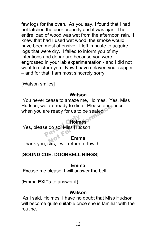few logs for the oven. As you say, I found that I had not latched the door properly and it was ajar. The entire load of wood was wet from the afternoon rain. I knew that had I used wet wood, the smoke would have been most offensive. I left in haste to acquire logs that were dry. I failed to inform you of my intentions and departure because you were engrossed in your lab experimentation - and I did not want to disturb you. Now I have delayed your supper – and for that, I am most sincerely sorry.

[Watson smiles]

#### **Watson**

You never cease to amaze me, Holmes. Yes, Miss Hudson, we are ready to dine. Please announce when you are ready for us to be seated. are ready to dine. Please annot<br>
e ready for us to be seated.<br> **CHolmes**<br>
do so, Miss Hudson.<br> **Emma** 

# **Holmes**

Yes, please do so, Miss Hudson. e do so, Miss Huds<br>Perso, Miss Huds

### **Emma**

Thank you, sirs, I will return forthwith.

# **[SOUND CUE: DOORBELL RINGS]**

# **Emma**

Excuse me please. I will answer the bell.

(Emma **EXITs** to answer it)

### **Watson**

As I said, Holmes, I have no doubt that Miss Hudson will become quite suitable once she is familiar with the routine.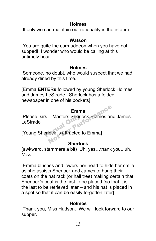# **Holmes**

If only we can maintain our rationality in the interim.

# **Watson**

You are quite the curmudgeon when you have not supped! I wonder who would be calling at this untimely hour.

# **Holmes**

Someone, no doubt, who would suspect that we had already dined by this time.

[Emma **ENTERs** followed by young Sherlock Holmes and James LeStrade. Sherlock has a folded newspaper in one of his pockets]

# **Emma**

Please, sirs – Masters Sherlock Holmes and James LeStrade Please, sirs – Masters Sherlock Holme<br>LeStrade<br>[Young Sherlock is attracted to Emma] Emma<br>
– Masters Sherlock Holmes and<br>
lock is attracted to Emmal

# **Sherlock**

(awkward, stammers a bit) Uh, yes…thank you...uh, Miss

[Emma blushes and lowers her head to hide her smile as she assists Sherlock and James to hang their coats on the hat rack (or hall tree) making certain that Sherlock's coat is the first to be placed (so that it is the last to be retrieved later – and his hat is placed in a spot so that it can be easily forgotten later]

# **Holmes**

Thank you, Miss Hudson. We will look forward to our supper.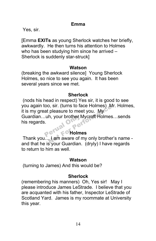#### **Emma**

Yes, sir.

[Emma **EXITs** as young Sherlock watches her briefly, awkwardly. He then turns his attention to Holmes who has been studying him since he arrived – Sherlock is suddenly star-struck]

#### **Watson**

(breaking the awkward silence] Young Sherlock Holmes, so nice to see you again. It has been several years since we met.

#### **Sherlock**

(nods his head in respect) Yes sir, it is good to see you again too, sir. (turns to face Holmes) Mr. Holmes, it is my great pleasure to meet you. My Guardian…uh, your brother Mycroft Holmes…sends his regards. Perual S, sir. (turns to race Holmes) iv<br>
pleasure to meet you. My<br>
h, your brother Mycroft Holmes<br> **Prince Holmes**<br> **Prince Holmes**<br> **Prince Holmes**<br> **Prince Holmes**<br> **Prince Holmes**<br>
Prince Holmes<br>
Prince Holmes<br>
Prince Holmes

#### **Holmes**

Thank you… I am aware of my only brother's name and that he is your Guardian. (dryly) I have regards to return to him as well.

#### **Watson**

(turning to James) And this would be?

### **Sherlock**

(remembering his manners) Oh, Yes sir! May I please introduce James LeStrade. I believe that you are acquanted with his father, Inspector LeStrade of Scotland Yard. James is my roommate at University this year.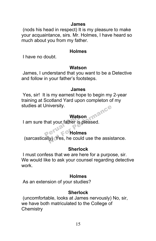#### **James**

(nods his head in respect) It is my pleasure to make your acquaintance, sirs. Mr. Holmes, I have heard so much about you from my father.

#### **Holmes**

I have no doubt.

### **Watson**

James, I understand that you want to be a Detective and follow in your father's footsteps.

### **James**

Yes, sir! It is my earnest hope to begin my 2-year training at Scotland Yard upon completon of my studies at University.

# **Watson**

I am sure that your father is pleased. Watso<br>that your father is p<br>P<sup>eru</sup>re Oholme

# **Holmes**

 (sarcastically) Yes, he could use the assistance. Inversity.<br>
Watson<br>
at your father is pleased.<br>
(V) Yes, he could use the assis

# **Sherlock**

I must confess that we are here for a purpose, sir. We would like to ask your counsel regarding detective work.

# **Holmes**

As an extension of your studies?

# **Sherlock**

(uncomfortable, looks at James nervously) No, sir, we have both matriculated to the College of **Chemistry**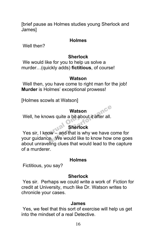[brief pause as Holmes studies young Sherlock and James]

#### **Holmes**

Well then?

### **Sherlock**

We would like for you to help us solve a murder…(quickly adds) **fictitious**, of course!

#### **Watson**

Well then, you have come to right man for the job! **Murder** is Holmes' exceptional prowess!

[Holmes scowls at Watson]

#### **Watson**

Well, he knows quite a bit about it after all.

# **Sherlock**

Well, he knows quite a bit about it after all.<br>
Sherlock<br>
Yes sir, I know – and that is why we have come for your guidance. We would like to know how one goes about unraveling clues that would lead to the capture of a murderer. Watson<br>
ws quite a bit about it after all.<br>
Sherlock<br>
ow – and that is why we have c<br>
e. We would like to know how

#### **Holmes**

Fictitious, you say?

### **Sherlock**

Yes sir. Perhaps we could write a work of Fiction for credit at University, much like Dr. Watson writes to chronicle your cases.

#### **James**

Yes, we feel that this sort of exercise will help us get into the mindset of a real Detective.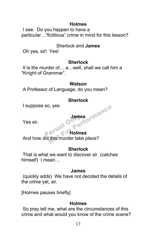# **Holmes**

I see. Do you happen to have a particular…"fictitious" crime in mind for this lesson?

# Sherlock and **James**

Oh yes, sir! Yes!

# **Sherlock**

It is the murder of… a…well, shall we call him a "Knight of Grammar".

### **Watson**

A Professor of Language, do you mean?

# **Sherlock**

I suppose so, yes.

Yes sir.

# James<br>**Perual Only ett**<br>Perual Only ett **Holmes**

And how did this murder take place? James<br>James<br>Let Mall Oldmes<br>Let For Holmes<br>Lihis murder take place?

# **Sherlock**

That is what we want to discover sir. (catches himself) I mean…

### **James**

(quickly adds) We have not decided the details of the crime yet, sir.

[Holmes pauses briefly]

# **Holmes**

So pray tell me, what are the circumstances of this crime and what would you know of the crime scene?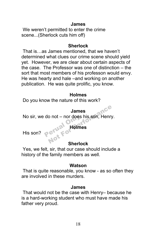#### **James**

We weren't permitted to enter the crime scene...(Sherlock cuts him off)

#### **Sherlock**

That is…as James mentioned, that we haven't determined what clues our crime scene should yield yet. However, we are clear about certain aspects of the case. The Professor was one of distinction – the sort that most members of his professon would envy. He was hearty and hale –and working on another publication. He was quite prolific, you know.

#### **Holmes**

Do you know the nature of this work?

#### **James**

No sir, we do not – nor does his son, Henry. do not – nor does l<br>Perual Molme<br>Perus Fo James<br>
o not – nor does his son, Henry<br>
erwal Holmes<br>
Richardsk

#### **Holmes**

His son?

# **Sherlock**

Yes, we felt, sir, that our case should include a history of the family members as well.

#### **Watson**

That is quite reasonable, you know - as so often they are involved in these murders.

#### **James**

That would not be the case with Henry– because he is a hard-working student who must have made his father very proud.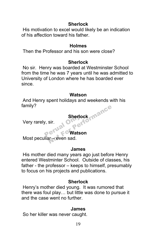# **Sherlock**

His motivation to excel would likely be an indication of his affection toward his father.

### **Holmes**

Then the Professor and his son were close?

# **Sherlock**

No sir. Henry was boarded at Westminster School from the time he was 7 years until he was admitted to University of London where he has boarded ever since.

#### **Watson**

And Henry spent holidays and weekends with his family? Sherlock<br>sir.<br>et Watson<br>ar – even sad.

Very rarely, sir.

# **Sherlock**<br>
Perual Only enter **Watson**

Most peculiar – even sad.

### **James**

His mother died many years ago just before Henry entered Westminter School. Outside of classes, his father - the professor – keeps to himself, presumably to focus on his projects and publications.

# **Sherlock**

Henry's mother died young. It was rumored that there was foul play… but little was done to pursue it and the case went no further.

# **James**

So her killer was never caught.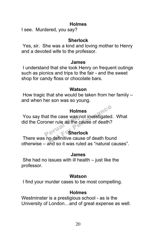## **Holmes**

I see. Murdered, you say?

# **Sherlock**

Yes, sir. She was a kind and loving mother to Henry and a devoted wife to the professor.

#### **James**

I understand that she took Henry on frequent outings such as picnics and trips to the fair - and the sweet shop for candy floss or chocolate bars.

#### **Watson**

How tragic that she would be taken from her family – and when her son was so young.

# **Holmes**

You say that the case was not investigated. What<br>
did the Coroner rule as the cause of death?<br>
Sherlock did the Coroner rule as the cause of death? Holmes<br>
You say that the case was not investigated. V<br>
Hid the Coroner rule as the cause of death?<br>
There was no definitive cause of death found<br>
Sherlock<br>
There was no definitive cause of death found<br>
Sherlock

# **Sherlock**

otherwise – and so it was ruled as "natural causes".

### **James**

She had no issues with ill health – just like the professor.

### **Watson**

I find your murder cases to be most compelling.

# **Holmes**

Westminster is a prestigious school - as is the University of London…and of great expense as well.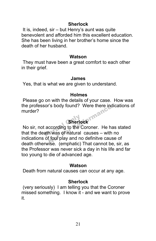#### **Sherlock**

It is, indeed, sir – but Henry's aunt was quite benevolent and afforded him this excellent education. She has been living in her brother's home since the death of her husband.

#### **Watson**

They must have been a great comfort to each other in their grief.

#### **James**

Yes, that is what we are given to understand.

### **Holmes**

Please go on with the details of your case. How was the professor's body found? Were there indications of murder?

# **Sherlock**

No sir, not according to the Coroner. He has stated that the death was of natural causes – with no indications of foul play and no definitve cause of death otherwise. (emphatic) That cannot be, sir, as the Professor was never sick a day in his life and far too young to die of advanced age. Sherlow<br>according to the C<br>ath was of natural rs body round? Were there incording<br>
Sherlock<br>
ccording to the Coroner. He has<br>
h was of natural causes – with<br>
f foul play and no definitve cause

### **Watson**

Death from natural causes can occur at any age.

# **Sherlock**

(very seriously) I am telling you that the Coroner missed something. I know it - and we want to prove it.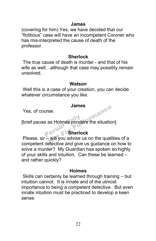#### **James**

(covering for him) Yes, we have decided that our "fictitious" case will have an incompetent Coroner who has mis-interpreted the cause of death of the professor.

#### **Sherlock**

The true cause of death is murder - and that of his wife as well…although that case may possibly remain unsolved.

#### **Watson**

Well this is a case of your creation, you can decide whatever circumstance you like.

#### **James**

Yes, of course.

[brief pause as Holmes ponders the situation] e as Holmes ponde Imance

# **Sherlock**

Please, sir – will you advise us on the qualities of a competent detective and give us guidance on how to solve a murder? My Guardian has spoken so highly of your skills and intuition. Can these be learned – and rather quickly?

#### **Holmes**

Skills can certainly be learned through training – but intuition cannot. It is innate and of the utmost importance to being a competent detective. But even innate intuition must be practiced to develop a keen sense.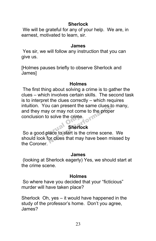# **Sherlock**

We will be grateful for any of your help. We are, in earnest, motivated to learn, sir.

#### **James**

Yes sir, we will follow any instruction that you can give us.

[Holmes pauses briefly to observe Sherlock and James]

#### **Holmes**

The first thing about solving a crime is to gather the clues – which involves certain skills. The second task is to interpret the clues correctly – which requires intuition. You can present the same clues to many, and they may or may not come to the proper conclusion to solve the crime. I can present the same clues to<br>y or may not come to the prope<br>solve the crime.<br>**Sherlock**<br>lace to start is the crime scene<br>or clues that may have been m

# **Sherlock**

So a good place to start is the crime scene. We can good place to start is the crime scene. We should look for clues that may have been missed by the Coroner.

#### **James**

(looking at Sherlock eagerly) Yes, we should start at the crime scene.

#### **Holmes**

So where have you decided that your "ficticious" murder will have taken place?

Sherlock Oh, yes – it would have happened in the study of the professor's home. Don't you agree, James?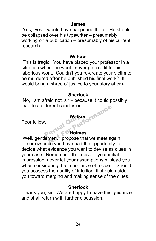#### **James**

Yes, yes it would have happened there. He should be collapsed over his typewriter – presumably working on a publication – presumably of his current research.

#### **Watson**

This is tragic. You have placed your professor in a situation where he would never get credit for his laborious work. Couldn't you re-create your victim to be murdered **after** he published his final work? It would bring a shred of justice to your story after all.

#### **Sherlock**

No, I am afraid not, sir – because it could possibly lead to a different conclusion.

#### **Watson**

Poor fellow.

# **Holmes**

Well, gentlemen, I propose that we meet again tomorrow once you have had the opportunity to decide what evidence you want to devise as clues in your case. Remember, that despite your initial impression, never let your assumptions mislead you when considering the importance of a clue. Should you possess the quality of intuition, it should guide you toward merging and making sense of the clues. Perual C Watson<br>
Watson<br>
C<sup>T Hal</sup> F<sup>o</sup> Holmes<br>
Mal Propose that we meet age you have had the enpertunity

### **Sherlock**

Thank you, sir. We are happy to have this guidance and shall return with further discussion.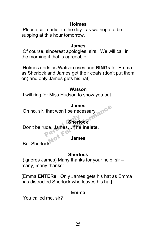## **Holmes**

Please call earlier in the day - as we hope to be supping at this hour tomorrow.

#### **James**

Of course, sincerest apologies, sirs. We will call in the morning if that is agreeable.

[Holmes nods as Watson rises and **RINGs** for Emma as Sherlock and James get their coats (don't put them on) and only James gets his hat]

### **Watson**

I will ring for Miss Hudson to show you out.

### **James**

Oh no, sir, that won't be necessary.

# **Sherlock**

Don't be rude, James…if he **insists**. Sherlow<br>ude, James, if he i James<br>
nat won't be necessary<br>
Sherlock<br>
le, James...if he insists.<br>
James<br>
Mother James

# **James**

But Sherlock…

# **Sherlock**

(ignores James) Many thanks for your help, sir – many, many thanks!

[Emma **ENTERs**. Only James gets his hat as Emma has distracted Sherlock who leaves his hat]

# **Emma**

You called me, sir?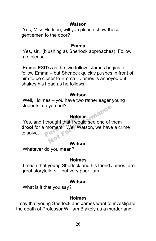#### **Watson**

Yes, Miss Hudson, will you please show these gentlemen to the door?

#### **Emma**

Yes, sir. (blushing as Sherlock approaches) Follow me, please.

[Emma **EXITs** as the two follow. James begins to follow Emma – but Sherlock quickly pushes in front of him to be closer to Emma – James is annoyed but shakes his head as he follows]

#### **Watson**

Well, Holmes – you have two rather eager young students, do you not?

### **Holmes**

Yes, and I thought that I would see one of them **drool** for a moment. Well Watson, we have a crime to solve. Holme<br>thought that I woul<br>moment. Well Wa you not?<br>
Holmes<br>
hought that I would see one of the<br>
noment: Well Watson, we have

### **Watson**

Whatever do you mean?

# **Holmes**

I mean that young Sherlock and his friend James are great storytellers – but very poor liars.

### **Watson**

What is it that you say?

# **Holmes**

I say that young Sherlock and James want to investigate the death of Professor William Blakely as a murder and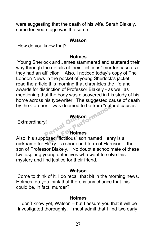were suggesting that the death of his wife, Sarah Blakely, some ten years ago was the same.

#### **Watson**

How do you know that?

#### **Holmes**

Young Sherlock and James stammered and stuttered their way through the details of their "fictitious" murder case as if they had an affliction. Also, I noticed today's copy of The London News in the pocket of young Sherlock's jacket. I read the article this morning that chronicles the life and awards for distinction of Professor Blakely - as well as mentioning that the body was discovered in his study of his home across his typewriter. The suggested cause of death by the Coroner – was deemed to be from "natural causes".

#### **Watson**

Extraordinary!

#### **Holmes**

Also, his supposed "fictitious" son named Henry is a nickname for Harry – a shortened form of Harrison - the son of Professor Blakely. No doubt a schoolmate of these two aspiring young detectives who want to solve this mystery and find justice for their friend. Perual - was deemed to be from hat<br>
Watson<br>
Watson<br>
sed "fictitious" son named Hen

#### **Watson**

Come to think of it, I do recall that bit in the morning news. Holmes, do you think that there is any chance that this could be, in fact, murder?

#### **Holmes**

I don't know yet, Watson – but I assure you that it will be investigated thoroughly. I must admit that I find two early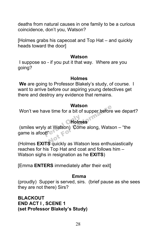deaths from natural causes in one family to be a curious coincidence, don't you, Watson?

[Holmes grabs his capecoat and Top Hat – and quickly heads toward the door]

#### **Watson**

I suppose so - if you put it that way. Where are you going?

#### **Holmes**

**We** are going to Professor Blakely's study, of course. I want to arrive before our aspiring young detectives get there and destroy any evidence that remains.

#### **Watson**

Won't we have time for a bit of supper before we depart?

# **Holmes**

(smiles wryly at Watson) Come along, Watson – "the game is afoot!"<sup>®</sup> y at Watson) Come<br>http://www.fo watson<br>
e time for a bit of supper before<br> **CHolmes**<br>
at Watson) Come along, Watson<br>
Persuadely as Watson loss on the

(Holmes **EXITS** quickly as Watson less enthusiastically reaches for his Top Hat and coat and follows him – Watson sighs in resignation as he **EXITS**)

[Emma **ENTERS** immediately after their exit]

#### **Emma**

(proudly) Supper is served, sirs. (brief pause as she sees they are not there) Sirs?

**BLACKOUT END ACT I , SCENE 1 (set Professor Blakely's Study)**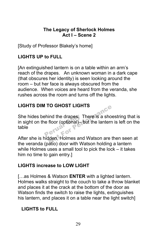# **The Legacy of Sherlock Holmes Act I – Scene 2**

[Study of Professor Blakely's home]

# **LIGHTS UP to FULL**

[An extinguished lantern is on a table within an arm's reach of the drapes. An unknown woman in a dark cape (that obscures her identity) is seen looking around the room – but her face is always obscured from the audience. When voices are heard from the veranda, she rushes across the room and turns off the lights.

# **LIGHTS DIM TO GHOST LIGHTS**

She hides behind the drapes. There is a shoestring that is in sight on the floor (optional)– but the lantern is left on the table Perua ID GHOST LIGHTS<br>
ind the drapes. There is a sho-<br>
floor (optional)— but the lantern<br>
Iden, Holmes and Watson are total

After she is hidden, Holmes and Watson are then seen at the veranda (patio) door with Watson holding a lantern while Holmes uses a small tool to pick the lock – it takes him no time to gain entry.]

# **LIGHTS increase to LOW LIGHT**

[…as Holmes & Watson **ENTER** with a lighted lantern. Holmes walks straight to the couch to take a throw blanket and places it at the crack at the bottom of the door as Watson finds the switch to raise the lights, extinguishes his lantern, and places it on a table near the light switch]

# **LIGHTS to FULL**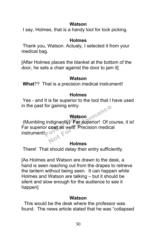# **Watson**

I say, Holmes, that is a handy tool for lock picking.

# **Holmes**

Thank you, Watson. Actualy, I selected it from your medical bag.

[After Holmes places the blanket at the bottom of the door, he sets a chair against the door to jam it]

# **Watson**

**What**?? That is a precision medical instrument!

# **Holmes**

Yes - and It is far superior to the tool that I have used in the past for gaining entry. mance

# **Watson**

(Mumbling indignantly) **Far** superior! Of course, it is! Far superior **cost** as well! Precision medical instrument!o<sup>c</sup> **Watso**<br>Perual Only Cost as well!<br>Preserved The Cost of Sections<br>Perual Terms

### **Holmes**

There! That should delay their entry sufficiently.

[As Holmes and Watson are drawn to the desk, a hand is seen reaching out from the drapes to retrieve the lantern without being seen. It can happen while Holmes and Watson are talking – but it should be silent and slow enough for the audience to see it happen]

# **Watson**

 This would be the desk where the professor was found. The news article stated that he was "collapsed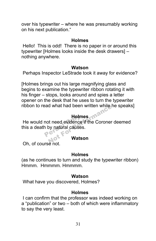over his typewriter – where he was presumably working on his next publication."

#### **Holmes**

Hello! This is odd! There is no paper in or around this typewriter [Holmes looks inside the desk drawers] – nothing anywhere.

#### **Watson**

Perhaps Inspector LeStrade took it away for evidence?

[Holmes brings out his large magnifying glass and begins to examine the typewriter ribbon rotating it with his finger – stops, looks around and spies a letter opener on the desk that he uses to turn the typewriter ribbon to read what had been written while he speaks]

# **Holmes**

He would not need evidence if the Coroner deemed this a death by natural causes. **Holm**<br>not need evidence<br>n by natural causes d what had been written while<br>
Holmes<br>
of need evidence if the Coroner<br>
by natural causes.<br>
Watson

### **Watson**

Oh, of course not.

### **Holmes**

(as he continues to turn and study the typewriter ribbon) Hmmm. Hmmmm. Hmmmm.

### **Watson**

What have you discovered, Holmes?

# **Holmes**

I can confirm that the professor was indeed working on a "publication" or two – both of which were inflammatory to say the very least.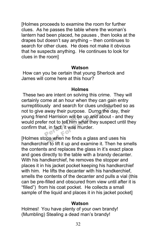[Holmes proceeds to examine the room for further clues. As he passes the table where the woman's lantern had been placed, he pauses , then looks at the drapes but doesn't say anything – then continues to search for other clues. He does not make it obvious that he suspects anything. He continues to look for clues in the room]

#### **Watson**

How can you be certain that young Sherlock and James will come here at this hour?

### **Holmes**

These two are intent on solving this crime. They will certainly come at an hour when they can gain entry surreptitiously and search for clues undisturbed so as not to give away their purpose. Durng the day, their young friend Harrision will be up and about - and they would prefer not to tell him what they suspect until they confirm that, in fact, it was murder. d Harrision will be<br>er not to tell him wh<br>t, in fact, it was mu y and search for clues undistured<br>way their purpose. Durng the c<br>Harrision will be up and about<br>not to tell him what they suspe<br>in fact, it was murder.<br>So when he finds a glass and us

[Holmes stops when he finds a glass and uses his handkerchief to lift it up and examine it. Then he smells the contents and replaces the glass in it's exact place and goes directly to the table with a brandy decanter. With his handkerchief, he removes the stopper and places it in his jacket pocket keeping his handkerchief with him. He lifts the decanter with his handkerchief. smells the contents of the decanter and pulls a vial (this can be pre-filled and obscured from view until after it is "filled") from his coat pocket. He collects a small sample of the liquid and places it in his jacket pocket]

#### **Watson**

Holmes! You have plenty of your own brandy! (Mumbling) Stealing a dead man's brandy!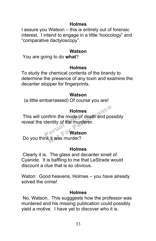## **Holmes**

I assure you Watson – this is entirely out of forensic interest. I intend to engage in a little "toxicology" and "comparative dactyloscopy".

#### **Watson**

You are going to do **what**?

### **Holmes**

To study the chemical contents of the brandy to determine the presence of any toxin and examine the decanter stopper for fingerprints.

#### **Watson**

(a little embarrassed) Of course you are!

# **Holmes**

This will confirm the mode of death and possibly reveal the identity of the murderer. onfirm the mode of<br>dentity of the murd<br>**Perual Converts** Holmes<br>firm the mode of death and posentity of the murderer.<br>Watson<br>it was murder?

# **Watson**

Do you think it was murder?

# **Holmes**

Clearly it is. The glass and decanter smell of Cyanide. It is baffling to me that LeStrade would discount a clue that is so obvious.

Waton: Good heavens, Holmes – you have already solved the crime!

### **Holmes**

No, Watson. This sugggests how the professor was murdered and his missing publication could possibly yield a motive. I have yet to discover who it is.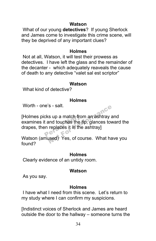#### **Watson**

What of our young **detectives**? If young Sherlock and James come to investigate this crime scene, will they be deprived of any important clues?

#### **Holmes**

Not at all, Watson, it will test their prowess as detectives. I have left the glass and the remainder of the decanter - which adequately reaveals the cause of death to any detective "valet sal est scriptor"

#### **Watson**

What kind of detective?

### **Holmes**

Worth - one's - salt.

[Holmes picks up a match from an ashtray and examines it and touches the tip, glances toward the drapes, then replaces it in the ashtray] cks up a match from<br>t and touches the time<br> $P^{\text{e}}$ S - salt.<br>
S up a match from an ashtray and touches the tip, glances to<br>
replaces it in the ashtray]<br>
used) Yes, of course. What has

Watson (amused) Yes, of course. What have you found?

#### **Holmes**

Clearly evidence of an untidy room.

### **Watson**

As you say.

### **Holmes**

I have what I need from this scene. Let's return to my study where I can confirm my suspicions.

[Indistinct voices of Sherlock and James are heard outside the door to the hallway – someone turns the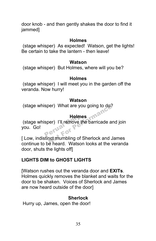door knob - and then gently shakes the door to find it jammed]

#### **Holmes**

(stage whisper) As expected! Watson, get the lights! Be certain to take the lantern - then leave!

#### **Watson**

(stage whisper) But Holmes, where will you be?

#### **Holmes**

(stage whisper) I will meet you in the garden off the veranda. Now hurry!

#### **Watson**

(stage whisper) What are you going to do?

# **Holmes**

(stage whisper) I'll remove the barricade and join you. Go! **Holme**<br>Sper) I'll remove the<br>Perual Terms Holmes<br>
Holmes<br>
Der) I'll remove the barricade a<br>
not mumbling of Sherlock and Johnson Lines<br>
Nation Looks at the N

[ Low, indistinct mumbling of Sherlock and James continue to be heard. Watson looks at the veranda door, shuts the lights off]

# **LIGHTS DIM to GHOST LIGHTS**

[Watson rushes out the veranda door and **EXITs**. Holmes quickly removes the blanket and waits for the door to be shaken. Voices of Sherlock and James are now heard outside of the door]

# **Sherlock**

Hurry up, James, open the door!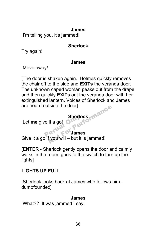#### **James**

I'm telling you, it's jammed!

# **Sherlock**

Try again!

### **James**

Move away!

[The door is shaken again. Holmes quickly removes the chair off to the side and **EXITs** the veranda door. The unknown caped woman peaks out from the drape and then quickly **EXITs** out the veranda door with her extinguished lantern. Voices of Sherlock and James are heard outside the door]

**Sherlock**<br>
Perual Only enter Let **me** give it a go! **O** 

# **James**

Give it a go if you will – but it is jammed! Sherlock<br>it a go!<br>Sherlock<br>For James<br>Fyou will – but it is jammed!

[**ENTER** - Sherlock gently opens the door and calmly walks in the room, goes to the switch to turn up the lights]

# **LIGHTS UP FULL**

[Sherlock looks back at James who follows him dumbfounded]

**James**

What?? It was jammed I say!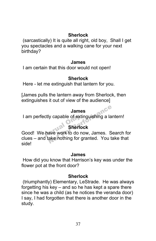# **Sherlock**

(sarcastically) It is quite all right, old boy, Shall I get you spectacles and a walking cane for your next birthday?

#### **James**

I am certain that this door would not open!

# **Sherlock**

Here - let me extinguish that lantern for you.

[James pulls the lantern away from Sherlock, then extinguishes it out of view of the audience]

### **James**

I am perfectly capable of extinguishing a lantern!

# **Sherlock**

I am perfectly capable of extinguishing a lantern!<br>
Sherlock<br>
Good! We have work to do now, James. Search for clues – and take nothing for granted. You take that side! James<br>Iy capable of extinguishing a la<br>Sherlock<br>ave work to do now, James. S<br>ake nothing for granted. You ta

### **James**

How did you know that Harrison's key was under the flower pot at the front door?

# **Sherlock**

(triumphantly) Elementary, LeStrade. He was always forgetting his key – and so he has kept a spare there since he was a child (as he notices the veranda door) I say, I had forgotten that there is another door in the study.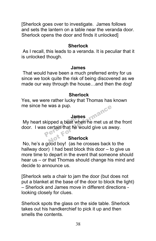[Sherlock goes over to investigate. James follows and sets the lantern on a table near the veranda door. Sherlock opens the door and finds it unlocked]

#### **Sherlock**

As I recall, this leads to a veranda. It is peculiar that it is unlocked though.

#### **James**

That would have been a much preferred entry for us since we took quite the risk of being discovered as we made our way through the house…and then the dog!

### **Sherlock**

Yes, we were rather lucky that Thomas has known me since he was a pup. Imance

### **James**

My heart skipped a beat when he met us at the front door. I was certain that he would give us away. James<br>
kipped a beat where<br>
s certain that he wo

### **Sherlock**

No, he's a good boy! (as he crosses back to the hallway door) I had best block this door – to give us more time to depart in the event that someone should hear us – or that Thomas should change his mind and decide to announce us.

[Sherlock sets a chair to jam the door (but does not put a blanket at the base of the door to block the light) – Sherlock and James move in different directions looking closely for clues.

Sherlock spots the glass on the side table. Sherlock takes out his handkerchief to pick it up and then smells the contents.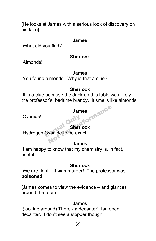[He looks at James with a serious look of discovery on his face]

#### **James**

What did you find?

#### **Sherlock**

Almonds!

#### **James**

You found almonds! Why is that a clue?

### **Sherlock**

It is a clue because the drink on this table was likely the professor's bedtime brandy. It smells like almonds.

# **James** iormance

Cyanide!

# **Sherlock**

Cyanide!<br>Hydrogen Cyanide to be exact.

### **James**

I am happy to know that my chemistry is, in fact, useful.

# **Sherlock**

We are right – it **was** murder! The professor was **poisoned**.

[James comes to view the evidence – and glances around the room]

### **James**

(looking around) There - a decanter! Ian open decanter. I don't see a stopper though.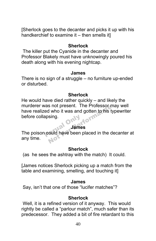[Sherlock goes to the decanter and picks it up with his handkerchief to examine it – then smells itl

#### **Sherlock**

The killer put the Cyanide in the decanter and Professor Blakely must have unknowingly poured his death along with his evening nightcap.

#### **James**

There is no sign of a struggle – no furniture up-ended or disturbed.

#### **Sherlock**

He would have died rather quickly – and likely the murderer was not present. The Professor may well have realized who it was and gotten to his typewriter before collapsing. S not present. The Professor in<br>
I who it was and gotten to his the sing.<br>
James<br>
Could have been placed in the d

#### **James**

before collapsing.<br> **James**<br>
The poison could have been placed in the decanter at any time.

#### **Sherlock**

(as he sees the ashtray with the match) It could.

[James notices Sherlock picking up a match from the table and examining, smelling, and touching it]

#### **James**

Say, isn't that one of those "lucifer matches"?

#### **Sherlock**

Well, it is a refined version of it anyway. This would rightly be called a "parlour match", much safer than its predecessor. They added a bit of fire retardant to this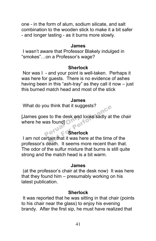one - in the form of alum, sodium silicate, and salt combination to the wooden stick to make it a bit safer - and longer lasting - as it burns more slowly.

#### **James**

I wasn't aware that Professor Blakely indulged in "smokes"…on a Professor's wage?

#### **Sherlock**

Nor was I - and your point is well-taken. Perhaps it was here for guests. There is no evidence of ashes having been in this "ash-tray" as they call it now – just this burned match head and most of the stick

#### **James**

What do you think that it suggests?

[James goes to the desk and looks sadly at the chair<br>
where he was found]<br>
Sherlock where he was found] I think that it suggests?<br>
to the desk and looks sadly at<br>
s found]<br>
Sherlock<br>
tain that it was here at the time<br>
looth, it cooms more recent the

# **Sherlock**

I am not certain that it was here at the time of the professor's death. It seems more recent than that. The odor of the sulfur mixture that burns is still quite strong and the match head is a bit warm.

#### **James**

(at the professor's chair at the desk now) It was here that they found him – presumably working on his latest publication.

#### **Sherlock**

It was reported that he was sitting in that chair (points to his chair near the glass) to enjoy his evening brandy. After the first sip, he must have realized that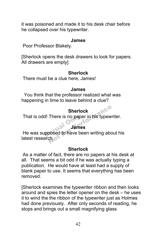it was poisoned and made it to his desk chair before he collapsed over his typewriter.

#### **James**

Poor Professor Blakely.

[Sherlock opens the desk drawers to look for papers. All drawers are empty]

#### **Sherlock**

There must be a clue here, James!

#### **James**

 You think that the professor realized what was happening in time to leave behind a clue?

# **Sherlock**

That is odd! There is no paper in his typewriter.

### **James**

That is odd! There is no paper in his typewriter.<br> **James**<br>
He was supposed to have been writing about his latest research. Sherlock<br>There is no paper in his typew<br>James<br>posed to have been writing abc<br>ch.

# **Sherlock**

As a matter of fact, there are no papers at his desk at all. That seems a bit odd if he was actually typing a publication. He would have at least had a supply of blank paper to use. It seems that everything has been removed.

[Sherlock examines the typewriter ribbon and then looks around and spies the letter opener on the desk – he uses it to wind the the ribbon of the typewriter just as Holmes had done previously. After only seconds of reading, he stops and brings out a small magnifying glass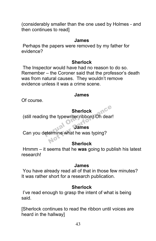(considerably smaller than the one used by Holmes - and then continues to read]

#### **James**

Perhaps the papers were removed by my father for evidence?

#### **Sherlock**

The Inspector would have had no reason to do so. Remember – the Coroner said that the professor's death was from natural causes. They wouldn't remove evidence unless it was a crime scene.

#### **James**

Of course.

#### **Sherlock**

(still reading the typewriter ribbon) Oh dear! Sherlock<br>the typewriter ribbon) Oh dear<br>James<br>ermine what he was typing?<br>Sherlock

#### **James**

still reading the typewriter ribbon) Oh de<br> **James**<br>
Can you determine what he was typing?

#### **Sherlock**

Hmmm – it seems that he **was** going to publish his latest research!

#### **James**

You have already read all of that in those few minutes? It was rather short for a research publication.

#### **Sherlock**

I've read enough to grasp the intent of what is being said.

[Sherlock continues to read the ribbon until voices are heard in the hallway]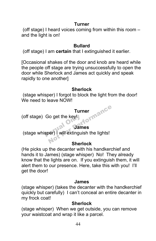### **Turner**

(off stage) I heard voices coming from within this room – and the light is on!

#### **Bullard**

(off stage) I am **certain** that I extinguished it earlier.

[Occasional shakes of the door and knob are heard while the people off stage are trying unsuccessfully to open the door while Sherlock and James act quickly and speak rapidly to one another]

# **Sherlock**

(stage whisper) I forgot to block the light from the door! We need to leave NOW!

# **Turner** formance

(off stage) Go get the key!

### **James**

off stage) Go get the key!<br>
James<br>
(stage whisper) I will extinguish the lights!

# **Sherlock**

(He picks up the decanter with his handkerchief and hands it to James) (stage whisper) No! They already know that the lights are on. If you extinguish them, it will alert them to our presence. Here, take this with you! I'll get the door!

### **James**

(stage whisper) (takes the decanter with the handkerchief quickly but carefully) I can't conceal an entire decanter in my frock coat!

### **Sherlock**

(stage whisper) When we get outside, you can remove your waistcoat and wrap it like a parcel.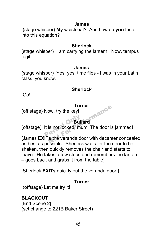#### **James**

(stage whisper) **My** waistcoat? And how do **you** factor into this equation?

#### **Sherlock**

(stage whisper) I am carrying the lantern. Now, tempus fugit!

#### **James**

(stage whisper) Yes, yes, time flies - I was in your Latin class, you know.

### **Sherlock**

Go!

#### **Turner**

(off stage) Now, try the key!

# **Bullard**

(offstage) It is not locked, mum. The door is jammed! **Perual Only Only 1999** 

[James **EXITs** the veranda door with decanter concealed as best as possible. Sherlock waits for the door to be shaken, then quickly removes the chair and starts to leave. He takes a few steps and remembers the lantern – goes back and grabs it from the table] Furner<br>
ow, try the key!<br>
Bullard<br>
is not locked, mum. The door is<br>
is the veranda door with decan<br>
accible. Shorlock waits for the

[Sherlock **EXITs** quickly out the veranda door ]

### **Turner**

(offstage) Let me try it!

# **BLACKOUT**

[End Scene 2] (set change to 221B Baker Street)